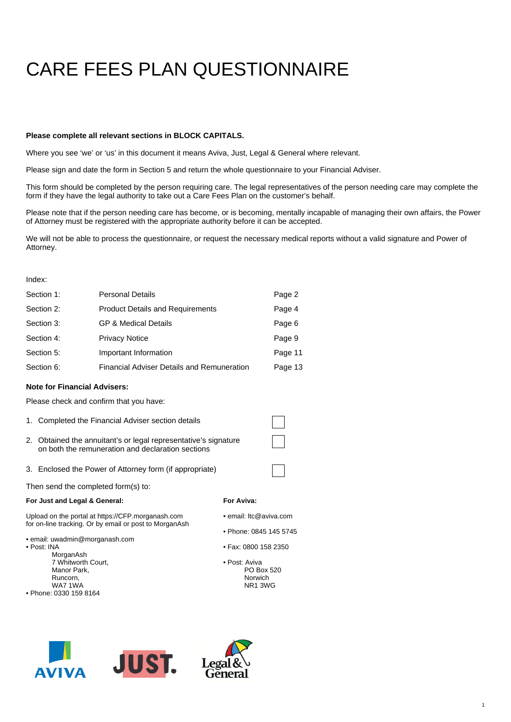# CARE FEES PLAN QUESTIONNAIRE

#### **Please complete all relevant sections in BLOCK CAPITALS.**

Where you see 'we' or 'us' in this document it means Aviva, Just, Legal & General where relevant.

Please sign and date the form in Section 5 and return the whole questionnaire to your Financial Adviser.

This form should be completed by the person requiring care. The legal representatives of the person needing care may complete the form if they have the legal authority to take out a Care Fees Plan on the customer's behalf.

Please note that if the person needing care has become, or is becoming, mentally incapable of managing their own affairs, the Power of Attorney must be registered with the appropriate authority before it can be accepted.

We will not be able to process the questionnaire, or request the necessary medical reports without a valid signature and Power of Attorney.

#### Index:

| Section 1: | <b>Personal Details</b>                           | Page 2  |
|------------|---------------------------------------------------|---------|
| Section 2: | <b>Product Details and Requirements</b>           | Page 4  |
| Section 3: | <b>GP &amp; Medical Details</b>                   | Page 6  |
| Section 4: | <b>Privacy Notice</b>                             | Page 9  |
| Section 5: | Important Information                             | Page 11 |
| Section 6: | <b>Financial Adviser Details and Remuneration</b> | Page 13 |

#### **Note for Financial Advisers:**

Please check and confirm that you have:

- 1. Completed the Financial Adviser section details
- 2. Obtained the annuitant's or legal representative's signature on both the remuneration and declaration sections
- 3. Enclosed the Power of Attorney form (if appropriate)

Then send the completed form(s) to:

#### **For Just and Legal & General:**

#### **For Aviva:**

- Upload on the portal at https://CFP.morganash.com for on-line tracking. Or by email or post to MorganAsh
- email: uwadmin@morganash.com
- Post: INA
	- MorganAsh 7 Whitworth Court, Manor Park, Runcorn,
- WA7 1WA • Phone: 0330 159 8164
- 
- email: ltc@aviva.com
- Phone: 0845 145 5745
- Fax: 0800 158 2350
- Post: Aviva PO Box 520 Norwich NR1 3WG





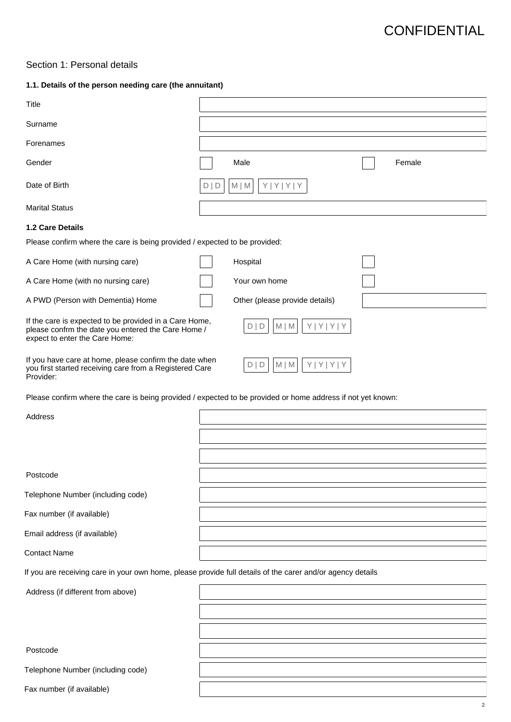### Section 1: Personal details

### **1.1. Details of the person needing care (the annuitant)**

| Title                                                                                                                                          |                                        |        |
|------------------------------------------------------------------------------------------------------------------------------------------------|----------------------------------------|--------|
| Surname                                                                                                                                        |                                        |        |
| Forenames                                                                                                                                      |                                        |        |
| Gender                                                                                                                                         | Male                                   | Female |
| Date of Birth                                                                                                                                  | Y Y Y Y<br>$M \mid M$<br>D   D         |        |
| <b>Marital Status</b>                                                                                                                          |                                        |        |
| <b>1.2 Care Details</b>                                                                                                                        |                                        |        |
| Please confirm where the care is being provided / expected to be provided:                                                                     |                                        |        |
| A Care Home (with nursing care)                                                                                                                | Hospital                               |        |
| A Care Home (with no nursing care)                                                                                                             | Your own home                          |        |
| A PWD (Person with Dementia) Home                                                                                                              | Other (please provide details)         |        |
| If the care is expected to be provided in a Care Home,<br>please confrm the date you entered the Care Home /<br>expect to enter the Care Home: | Y Y Y Y<br>$M \mid M$<br>D   D         |        |
| If you have care at home, please confirm the date when<br>you first started receiving care from a Registered Care<br>Provider:                 | $Y   Y   Y   Y$<br>D   D<br>$M \mid M$ |        |
| Please confirm where the care is being provided / expected to be provided or home address if not yet known:                                    |                                        |        |
| Address                                                                                                                                        |                                        |        |
|                                                                                                                                                |                                        |        |
|                                                                                                                                                |                                        |        |
| Postcode                                                                                                                                       |                                        |        |
| Telephone Number (including code)                                                                                                              |                                        |        |
| Fax number (if available)                                                                                                                      |                                        |        |
| Email address (if available)                                                                                                                   |                                        |        |
| <b>Contact Name</b>                                                                                                                            |                                        |        |
| If you are receiving care in your own home, please provide full details of the carer and/or agency details                                     |                                        |        |
| Address (if different from above)                                                                                                              |                                        |        |
|                                                                                                                                                |                                        |        |
|                                                                                                                                                |                                        |        |
| Postcode                                                                                                                                       |                                        |        |
| Telephone Number (including code)                                                                                                              |                                        |        |
| Fax number (if available)                                                                                                                      |                                        |        |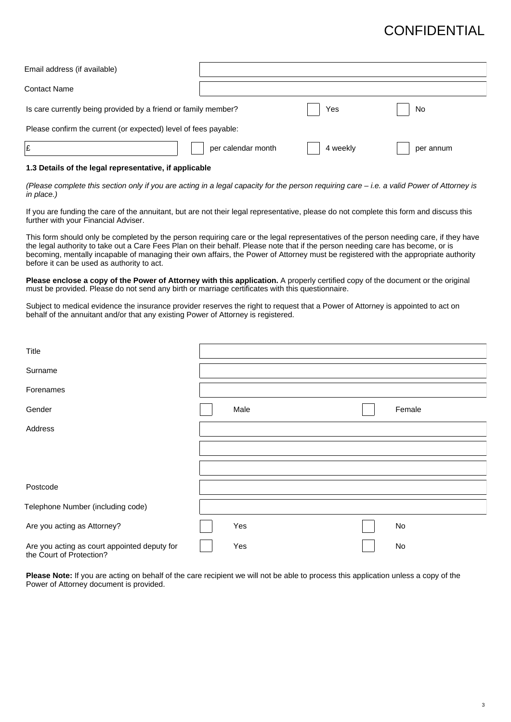| Email address (if available)                                    |                    |          |           |
|-----------------------------------------------------------------|--------------------|----------|-----------|
| Contact Name                                                    |                    |          |           |
| Is care currently being provided by a friend or family member?  |                    | Yes      | No        |
| Please confirm the current (or expected) level of fees payable: |                    |          |           |
| £                                                               | per calendar month | 4 weekly | per annum |

#### **1.3 Details of the legal representative, if applicable**

(Please complete this section only if you are acting in a legal capacity for the person requiring care – i.e. a valid Power of Attorney is in place.)

If you are funding the care of the annuitant, but are not their legal representative, please do not complete this form and discuss this further with your Financial Adviser.

This form should only be completed by the person requiring care or the legal representatives of the person needing care, if they have the legal authority to take out a Care Fees Plan on their behalf. Please note that if the person needing care has become, or is becoming, mentally incapable of managing their own affairs, the Power of Attorney must be registered with the appropriate authority before it can be used as authority to act.

**Please enclose a copy of the Power of Attorney with this application.** A properly certified copy of the document or the original must be provided. Please do not send any birth or marriage certificates with this questionnaire.

Subject to medical evidence the insurance provider reserves the right to request that a Power of Attorney is appointed to act on behalf of the annuitant and/or that any existing Power of Attorney is registered.

| Title                                                                    |      |        |
|--------------------------------------------------------------------------|------|--------|
| Surname                                                                  |      |        |
| Forenames                                                                |      |        |
| Gender                                                                   | Male | Female |
| Address                                                                  |      |        |
|                                                                          |      |        |
|                                                                          |      |        |
| Postcode                                                                 |      |        |
| Telephone Number (including code)                                        |      |        |
| Are you acting as Attorney?                                              | Yes  | No     |
| Are you acting as court appointed deputy for<br>the Court of Protection? | Yes  | No     |

**Please Note:** If you are acting on behalf of the care recipient we will not be able to process this application unless a copy of the Power of Attorney document is provided.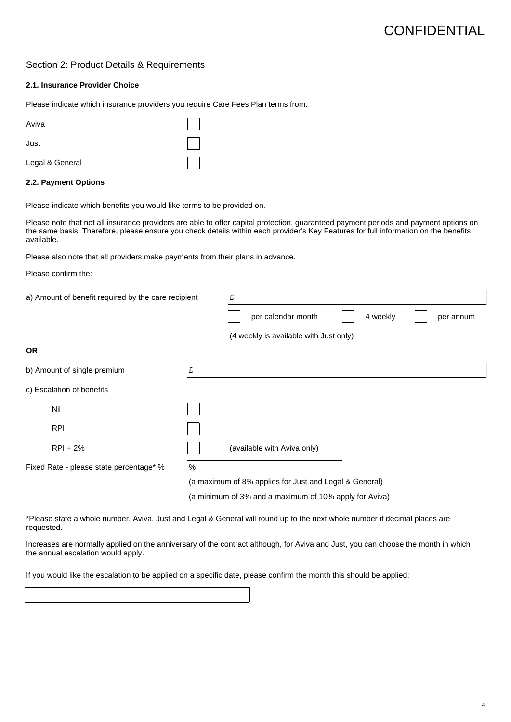4

### Section 2: Product Details & Requirements

#### **2.1. Insurance Provider Choice**

Please indicate which insurance providers you require Care Fees Plan terms from.

| Aviva           |  |
|-----------------|--|
| Just            |  |
| Legal & General |  |

#### **2.2. Payment Options**

Please indicate which benefits you would like terms to be provided on.

Please note that not all insurance providers are able to offer capital protection, guaranteed payment periods and payment options on the same basis. Therefore, please ensure you check details within each provider's Key Features for full information on the benefits available.

Please also note that all providers make payments from their plans in advance.

Please confirm the:

| a) Amount of benefit required by the care recipient |    | Ι£                                                     |  |  |  |  |  |  |
|-----------------------------------------------------|----|--------------------------------------------------------|--|--|--|--|--|--|
|                                                     |    | per calendar month<br>4 weekly<br>per annum            |  |  |  |  |  |  |
|                                                     |    | (4 weekly is available with Just only)                 |  |  |  |  |  |  |
| <b>OR</b>                                           |    |                                                        |  |  |  |  |  |  |
| b) Amount of single premium                         | Ι£ |                                                        |  |  |  |  |  |  |
| c) Escalation of benefits                           |    |                                                        |  |  |  |  |  |  |
| Nil                                                 |    |                                                        |  |  |  |  |  |  |
| <b>RPI</b>                                          |    |                                                        |  |  |  |  |  |  |
| $RPI + 2%$                                          |    | (available with Aviva only)                            |  |  |  |  |  |  |
| %<br>Fixed Rate - please state percentage* %        |    |                                                        |  |  |  |  |  |  |
|                                                     |    | (a maximum of 8% applies for Just and Legal & General) |  |  |  |  |  |  |
|                                                     |    | (a minimum of 3% and a maximum of 10% apply for Aviva) |  |  |  |  |  |  |

\*Please state a whole number. Aviva, Just and Legal & General will round up to the next whole number if decimal places are requested.

Increases are normally applied on the anniversary of the contract although, for Aviva and Just, you can choose the month in which the annual escalation would apply.

If you would like the escalation to be applied on a specific date, please confirm the month this should be applied: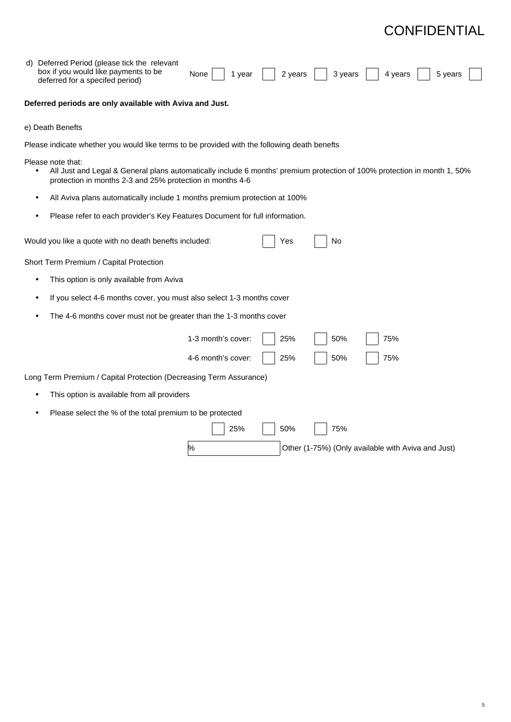| d) Deferred Period (please tick the relevant<br>box if you would like payments to be<br>None<br>2 years<br>3 years<br>4 years<br>5 years<br>1 year<br>deferred for a specifed period)                      |
|------------------------------------------------------------------------------------------------------------------------------------------------------------------------------------------------------------|
| Deferred periods are only available with Aviva and Just.                                                                                                                                                   |
| e) Death Benefts                                                                                                                                                                                           |
| Please indicate whether you would like terms to be provided with the following death benefts                                                                                                               |
| Please note that:<br>All Just and Legal & General plans automatically include 6 months' premium protection of 100% protection in month 1, 50%<br>protection in months 2-3 and 25% protection in months 4-6 |
| All Aviva plans automatically include 1 months premium protection at 100%                                                                                                                                  |
| Please refer to each provider's Key Features Document for full information.                                                                                                                                |
| Would you like a quote with no death benefts included:<br>Yes<br>No                                                                                                                                        |
| Short Term Premium / Capital Protection                                                                                                                                                                    |
| This option is only available from Aviva                                                                                                                                                                   |
| If you select 4-6 months cover, you must also select 1-3 months cover                                                                                                                                      |
| The 4-6 months cover must not be greater than the 1-3 months cover                                                                                                                                         |
| 1-3 month's cover:<br>50%<br>75%<br>25%                                                                                                                                                                    |
| 50%<br>75%<br>4-6 month's cover:<br>25%                                                                                                                                                                    |
| Long Term Premium / Capital Protection (Decreasing Term Assurance)                                                                                                                                         |
| This option is available from all providers                                                                                                                                                                |
| Please select the % of the total premium to be protected                                                                                                                                                   |
| 25%<br>50%<br>75%                                                                                                                                                                                          |
| %<br>Other (1-75%) (Only available with Aviva and Just)                                                                                                                                                    |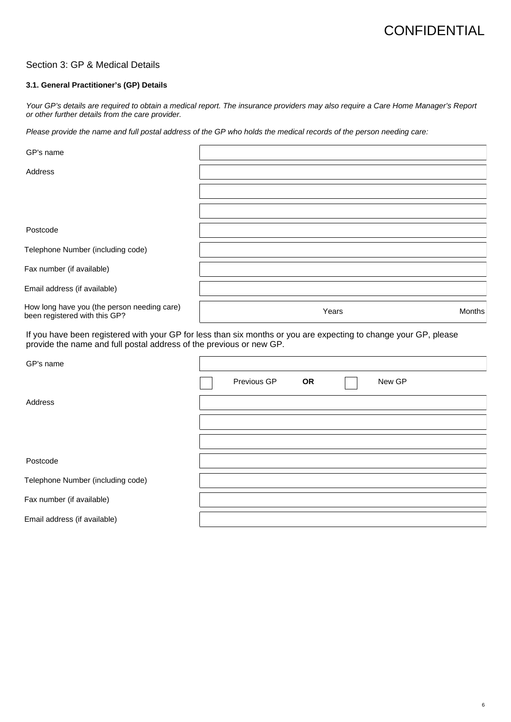### Section 3: GP & Medical Details

#### **3.1. General Practitioner's (GP) Details**

Your GP's details are required to obtain a medical report. The insurance providers may also require a Care Home Manager's Report or other further details from the care provider.

Please provide the name and full postal address of the GP who holds the medical records of the person needing care:

| GP's name                                                                    |       |        |
|------------------------------------------------------------------------------|-------|--------|
| Address                                                                      |       |        |
|                                                                              |       |        |
|                                                                              |       |        |
| Postcode                                                                     |       |        |
| Telephone Number (including code)                                            |       |        |
| Fax number (if available)                                                    |       |        |
| Email address (if available)                                                 |       |        |
| How long have you (the person needing care)<br>been registered with this GP? | Years | Months |
|                                                                              |       |        |

If you have been registered with your GP for less than six months or you are expecting to change your GP, please provide the name and full postal address of the previous or new GP.

| GP's name                         |             |           |        |
|-----------------------------------|-------------|-----------|--------|
|                                   | Previous GP | <b>OR</b> | New GP |
| Address                           |             |           |        |
|                                   |             |           |        |
|                                   |             |           |        |
| Postcode                          |             |           |        |
| Telephone Number (including code) |             |           |        |
| Fax number (if available)         |             |           |        |
| Email address (if available)      |             |           |        |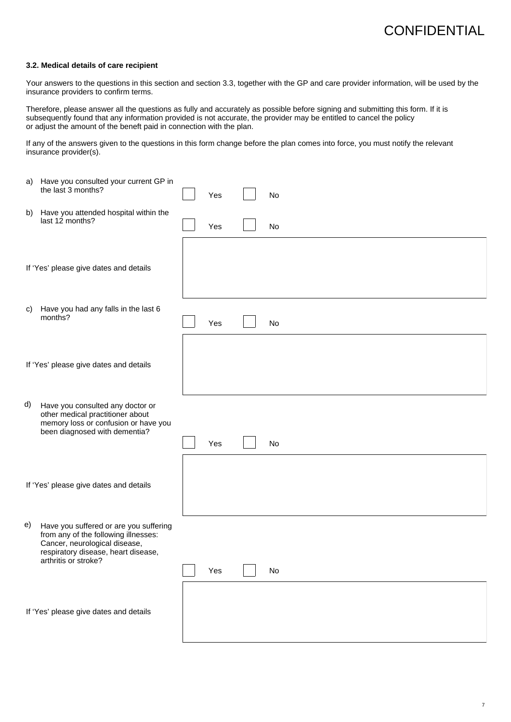#### **3.2. Medical details of care recipient**

Your answers to the questions in this section and section 3.3, together with the GP and care provider information, will be used by the insurance providers to confirm terms.

Therefore, please answer all the questions as fully and accurately as possible before signing and submitting this form. If it is subsequently found that any information provided is not accurate, the provider may be entitled to cancel the policy or adjust the amount of the beneft paid in connection with the plan.

If any of the answers given to the questions in this form change before the plan comes into force, you must notify the relevant insurance provider(s).

|    | a) Have you consulted your current GP in<br>the last 3 months?                                                                                                                 | Yes | No |
|----|--------------------------------------------------------------------------------------------------------------------------------------------------------------------------------|-----|----|
| b) | Have you attended hospital within the<br>last 12 months?                                                                                                                       | Yes | No |
|    | If 'Yes' please give dates and details                                                                                                                                         |     |    |
|    |                                                                                                                                                                                |     |    |
| C) | Have you had any falls in the last 6<br>months?                                                                                                                                | Yes | No |
|    | If 'Yes' please give dates and details                                                                                                                                         |     |    |
| d) | Have you consulted any doctor or<br>other medical practitioner about<br>memory loss or confusion or have you<br>been diagnosed with dementia?                                  | Yes | No |
|    |                                                                                                                                                                                |     |    |
|    | If 'Yes' please give dates and details                                                                                                                                         |     |    |
| e) | Have you suffered or are you suffering<br>from any of the following illnesses:<br>Cancer, neurological disease,<br>respiratory disease, heart disease,<br>arthritis or stroke? |     |    |
|    |                                                                                                                                                                                | Yes | No |
|    | If 'Yes' please give dates and details                                                                                                                                         |     |    |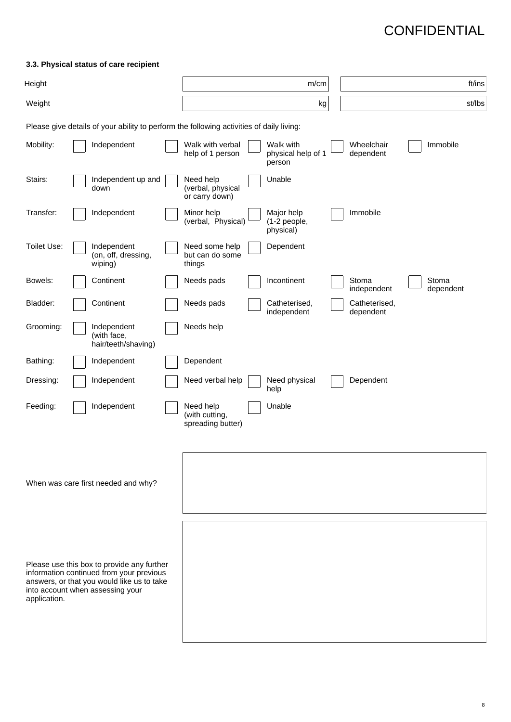### **3.3. Physical status of care recipient**

| Height                                                                                                                                                                                   |  |                                                                                          |  |                                                  | m/cm                                      |                            |                    | ft/ins |
|------------------------------------------------------------------------------------------------------------------------------------------------------------------------------------------|--|------------------------------------------------------------------------------------------|--|--------------------------------------------------|-------------------------------------------|----------------------------|--------------------|--------|
| Weight                                                                                                                                                                                   |  |                                                                                          |  |                                                  | kg                                        |                            |                    | st/lbs |
|                                                                                                                                                                                          |  | Please give details of your ability to perform the following activities of daily living: |  |                                                  |                                           |                            |                    |        |
| Mobility:                                                                                                                                                                                |  | Independent                                                                              |  | Walk with verbal<br>help of 1 person             | Walk with<br>physical help of 1<br>person | Wheelchair<br>dependent    | Immobile           |        |
| Stairs:                                                                                                                                                                                  |  | Independent up and<br>down                                                               |  | Need help<br>(verbal, physical<br>or carry down) | Unable                                    |                            |                    |        |
| Transfer:                                                                                                                                                                                |  | Independent                                                                              |  | Minor help<br>(verbal, Physical)                 | Major help<br>(1-2 people,<br>physical)   | Immobile                   |                    |        |
| Toilet Use:                                                                                                                                                                              |  | Independent<br>(on, off, dressing,<br>wiping)                                            |  | Need some help<br>but can do some<br>things      | Dependent                                 |                            |                    |        |
| Bowels:                                                                                                                                                                                  |  | Continent                                                                                |  | Needs pads                                       | Incontinent                               | Stoma<br>independent       | Stoma<br>dependent |        |
| Bladder:                                                                                                                                                                                 |  | Continent                                                                                |  | Needs pads                                       | Catheterised,<br>independent              | Catheterised,<br>dependent |                    |        |
| Grooming:                                                                                                                                                                                |  | Independent<br>(with face,<br>hair/teeth/shaving)                                        |  | Needs help                                       |                                           |                            |                    |        |
| Bathing:                                                                                                                                                                                 |  | Independent                                                                              |  | Dependent                                        |                                           |                            |                    |        |
| Dressing:                                                                                                                                                                                |  | Independent                                                                              |  | Need verbal help                                 | Need physical<br>help                     | Dependent                  |                    |        |
| Feeding:                                                                                                                                                                                 |  | Independent                                                                              |  | Need help<br>(with cutting,<br>spreading butter) | Unable                                    |                            |                    |        |
|                                                                                                                                                                                          |  | When was care first needed and why?                                                      |  |                                                  |                                           |                            |                    |        |
| Please use this box to provide any further<br>information continued from your previous<br>answers, or that you would like us to take<br>into account when assessing your<br>application. |  |                                                                                          |  |                                                  |                                           |                            |                    |        |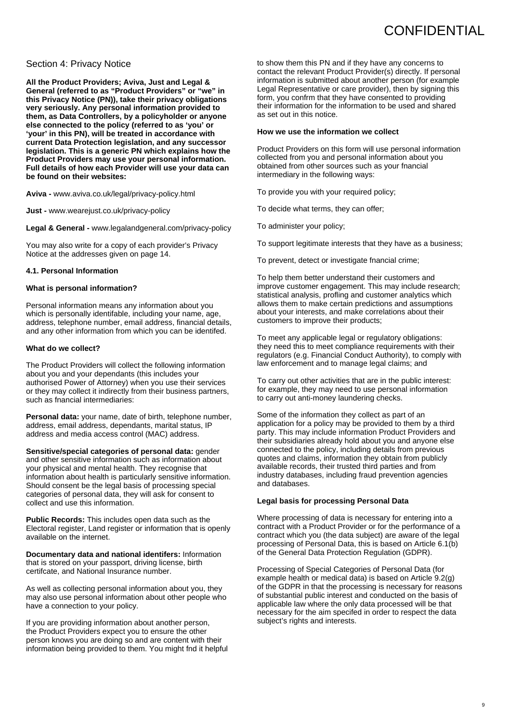#### Section 4: Privacy Notice

**All the Product Providers; Aviva, Just and Legal & General (referred to as "Product Providers" or "we" in this Privacy Notice (PN)), take their privacy obligations very seriously. Any personal information provided to them, as Data Controllers, by a policyholder or anyone else connected to the policy (referred to as 'you' or 'your' in this PN), will be treated in accordance with current Data Protection legislation, and any successor legislation. This is a generic PN which explains how the Product Providers may use your personal information. Full details of how each Provider will use your data can be found on their websites:**

**Aviva -** www.aviva.co.uk/legal/privacy-policy.html

**Just -** www.wearejust.co.uk/privacy-policy

**Legal & General -** www.legalandgeneral.com/privacy-policy

You may also write for a copy of each provider's Privacy Notice at the addresses given on page 14.

#### **4.1. Personal Information**

#### **What is personal information?**

Personal information means any information about you which is personally identifable, including your name, age, address, telephone number, email address, financial details, and any other information from which you can be identifed.

#### **What do we collect?**

The Product Providers will collect the following information about you and your dependants (this includes your authorised Power of Attorney) when you use their services or they may collect it indirectly from their business partners, such as fnancial intermediaries:

**Personal data:** your name, date of birth, telephone number, address, email address, dependants, marital status, IP address and media access control (MAC) address.

**Sensitive/special categories of personal data:** gender and other sensitive information such as information about your physical and mental health. They recognise that information about health is particularly sensitive information. Should consent be the legal basis of processing special categories of personal data, they will ask for consent to collect and use this information.

**Public Records:** This includes open data such as the Electoral register, Land register or information that is openly available on the internet.

**Documentary data and national identifers:** Information that is stored on your passport, driving license, birth certifcate, and National Insurance number.

As well as collecting personal information about you, they may also use personal information about other people who have a connection to your policy.

If you are providing information about another person, the Product Providers expect you to ensure the other person knows you are doing so and are content with their information being provided to them. You might fnd it helpful to show them this PN and if they have any concerns to contact the relevant Product Provider(s) directly. If personal information is submitted about another person (for example Legal Representative or care provider), then by signing this form, you confrm that they have consented to providing their information for the information to be used and shared as set out in this notice.

#### **How we use the information we collect**

Product Providers on this form will use personal information collected from you and personal information about you obtained from other sources such as your fnancial intermediary in the following ways:

To provide you with your required policy;

To decide what terms, they can offer;

To administer your policy;

To support legitimate interests that they have as a business;

To prevent, detect or investigate fnancial crime;

To help them better understand their customers and improve customer engagement. This may include research; statistical analysis, profling and customer analytics which allows them to make certain predictions and assumptions about your interests, and make correlations about their customers to improve their products;

To meet any applicable legal or regulatory obligations: they need this to meet compliance requirements with their regulators (e.g. Financial Conduct Authority), to comply with law enforcement and to manage legal claims; and

To carry out other activities that are in the public interest: for example, they may need to use personal information to carry out anti-money laundering checks.

Some of the information they collect as part of an application for a policy may be provided to them by a third party. This may include information Product Providers and their subsidiaries already hold about you and anyone else connected to the policy, including details from previous quotes and claims, information they obtain from publicly available records, their trusted third parties and from industry databases, including fraud prevention agencies and databases.

#### **Legal basis for processing Personal Data**

Where processing of data is necessary for entering into a contract with a Product Provider or for the performance of a contract which you (the data subject) are aware of the legal processing of Personal Data, this is based on Article 6.1(b) of the General Data Protection Regulation (GDPR).

Processing of Special Categories of Personal Data (for example health or medical data) is based on Article 9.2(g) of the GDPR in that the processing is necessary for reasons of substantial public interest and conducted on the basis of applicable law where the only data processed will be that necessary for the aim specifed in order to respect the data subject's rights and interests.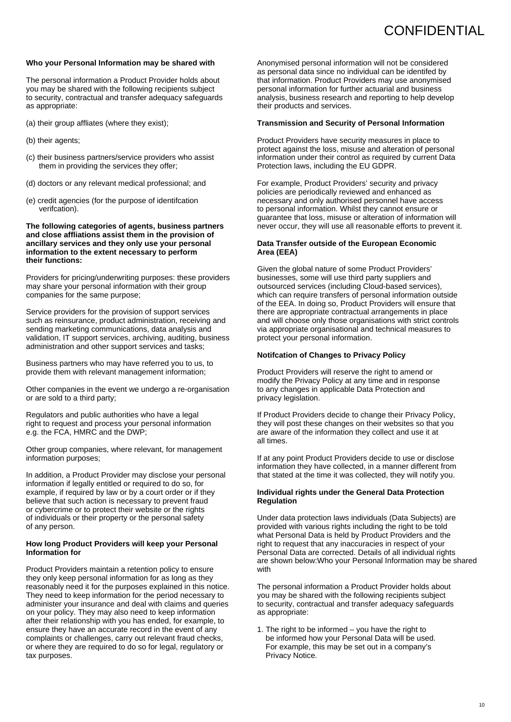#### **Who your Personal Information may be shared with**

The personal information a Product Provider holds about you may be shared with the following recipients subject to security, contractual and transfer adequacy safeguards as appropriate:

- (a) their group affliates (where they exist);
- (b) their agents;
- (c) their business partners/service providers who assist them in providing the services they offer;
- (d) doctors or any relevant medical professional; and
- (e) credit agencies (for the purpose of identifcation verifcation).

**The following categories of agents, business partners and close affliations assist them in the provision of ancillary services and they only use your personal information to the extent necessary to perform their functions:**

Providers for pricing/underwriting purposes: these providers may share your personal information with their group companies for the same purpose;

Service providers for the provision of support services such as reinsurance, product administration, receiving and sending marketing communications, data analysis and validation, IT support services, archiving, auditing, business administration and other support services and tasks;

Business partners who may have referred you to us, to provide them with relevant management information;

Other companies in the event we undergo a re-organisation or are sold to a third party;

Regulators and public authorities who have a legal right to request and process your personal information e.g. the FCA, HMRC and the DWP;

Other group companies, where relevant, for management information purposes;

In addition, a Product Provider may disclose your personal information if legally entitled or required to do so, for example, if required by law or by a court order or if they believe that such action is necessary to prevent fraud or cybercrime or to protect their website or the rights of individuals or their property or the personal safety of any person.

#### **How long Product Providers will keep your Personal Information for**

Product Providers maintain a retention policy to ensure they only keep personal information for as long as they reasonably need it for the purposes explained in this notice. They need to keep information for the period necessary to administer your insurance and deal with claims and queries on your policy. They may also need to keep information after their relationship with you has ended, for example, to ensure they have an accurate record in the event of any complaints or challenges, carry out relevant fraud checks, or where they are required to do so for legal, regulatory or tax purposes.

Anonymised personal information will not be considered as personal data since no individual can be identifed by that information. Product Providers may use anonymised personal information for further actuarial and business analysis, business research and reporting to help develop their products and services.

#### **Transmission and Security of Personal Information**

Product Providers have security measures in place to protect against the loss, misuse and alteration of personal information under their control as required by current Data Protection laws, including the EU GDPR.

For example, Product Providers' security and privacy policies are periodically reviewed and enhanced as necessary and only authorised personnel have access to personal information. Whilst they cannot ensure or guarantee that loss, misuse or alteration of information will never occur, they will use all reasonable efforts to prevent it.

#### **Data Transfer outside of the European Economic Area (EEA)**

Given the global nature of some Product Providers' businesses, some will use third party suppliers and outsourced services (including Cloud-based services), which can require transfers of personal information outside of the EEA. In doing so, Product Providers will ensure that there are appropriate contractual arrangements in place and will choose only those organisations with strict controls via appropriate organisational and technical measures to protect your personal information.

#### **Notifcation of Changes to Privacy Policy**

Product Providers will reserve the right to amend or modify the Privacy Policy at any time and in response to any changes in applicable Data Protection and privacy legislation.

If Product Providers decide to change their Privacy Policy, they will post these changes on their websites so that you are aware of the information they collect and use it at all times.

If at any point Product Providers decide to use or disclose information they have collected, in a manner different from that stated at the time it was collected, they will notify you.

#### **Individual rights under the General Data Protection Regulation**

Under data protection laws individuals (Data Subjects) are provided with various rights including the right to be told what Personal Data is held by Product Providers and the right to request that any inaccuracies in respect of your Personal Data are corrected. Details of all individual rights are shown below:Who your Personal Information may be shared with

The personal information a Product Provider holds about you may be shared with the following recipients subject to security, contractual and transfer adequacy safeguards as appropriate:

1. The right to be informed – you have the right to be informed how your Personal Data will be used. For example, this may be set out in a company's Privacy Notice.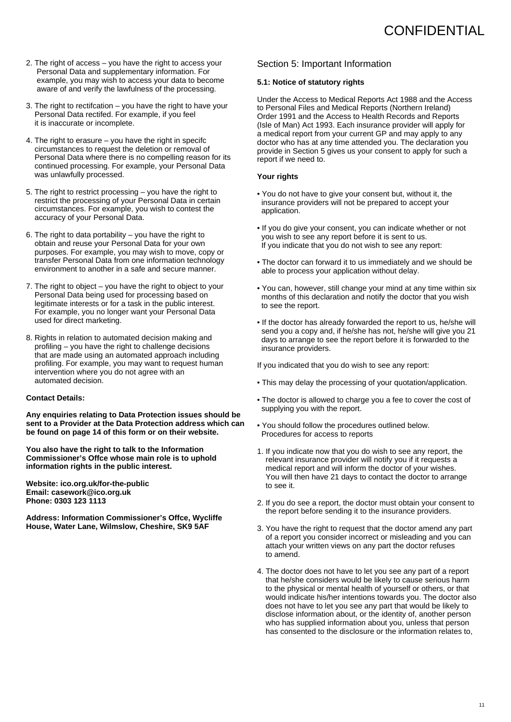- 2. The right of access you have the right to access your Personal Data and supplementary information. For example, you may wish to access your data to become aware of and verify the lawfulness of the processing.
- 3. The right to rectifcation you have the right to have your Personal Data rectifed. For example, if you feel it is inaccurate or incomplete.
- 4. The right to erasure you have the right in specifc circumstances to request the deletion or removal of Personal Data where there is no compelling reason for its continued processing. For example, your Personal Data was unlawfully processed.
- 5. The right to restrict processing you have the right to restrict the processing of your Personal Data in certain circumstances. For example, you wish to contest the accuracy of your Personal Data.
- 6. The right to data portability you have the right to obtain and reuse your Personal Data for your own purposes. For example, you may wish to move, copy or transfer Personal Data from one information technology environment to another in a safe and secure manner.
- 7. The right to object you have the right to object to your Personal Data being used for processing based on legitimate interests or for a task in the public interest. For example, you no longer want your Personal Data used for direct marketing.
- 8. Rights in relation to automated decision making and profiling – you have the right to challenge decisions that are made using an automated approach including profiling. For example, you may want to request human intervention where you do not agree with an automated decision.

#### **Contact Details:**

**Any enquiries relating to Data Protection issues should be sent to a Provider at the Data Protection address which can be found on page 14 of this form or on their website.**

**You also have the right to talk to the Information Commissioner's Offce whose main role is to uphold information rights in the public interest.**

**Website: ico.org.uk/for-the-public Email: casework@ico.org.uk Phone: 0303 123 1113**

**Address: Information Commissioner's Offce, Wycliffe House, Water Lane, Wilmslow, Cheshire, SK9 5AF**

### Section 5: Important Information

#### **5.1: Notice of statutory rights**

Under the Access to Medical Reports Act 1988 and the Access to Personal Files and Medical Reports (Northern Ireland) Order 1991 and the Access to Health Records and Reports (Isle of Man) Act 1993. Each insurance provider will apply for a medical report from your current GP and may apply to any doctor who has at any time attended you. The declaration you provide in Section 5 gives us your consent to apply for such a report if we need to.

#### **Your rights**

- You do not have to give your consent but, without it, the insurance providers will not be prepared to accept your application.
- If you do give your consent, you can indicate whether or not you wish to see any report before it is sent to us. If you indicate that you do not wish to see any report:
- The doctor can forward it to us immediately and we should be able to process your application without delay.
- You can, however, still change your mind at any time within six months of this declaration and notify the doctor that you wish to see the report.
- If the doctor has already forwarded the report to us, he/she will send you a copy and, if he/she has not, he/she will give you 21 days to arrange to see the report before it is forwarded to the insurance providers.

If you indicated that you do wish to see any report:

- This may delay the processing of your quotation/application.
- The doctor is allowed to charge you a fee to cover the cost of supplying you with the report.
- You should follow the procedures outlined below. Procedures for access to reports
- 1. If you indicate now that you do wish to see any report, the relevant insurance provider will notify you if it requests a medical report and will inform the doctor of your wishes. You will then have 21 days to contact the doctor to arrange to see it.
- 2. If you do see a report, the doctor must obtain your consent to the report before sending it to the insurance providers.
- 3. You have the right to request that the doctor amend any part of a report you consider incorrect or misleading and you can attach your written views on any part the doctor refuses to amend.
- 4. The doctor does not have to let you see any part of a report that he/she considers would be likely to cause serious harm to the physical or mental health of yourself or others, or that would indicate his/her intentions towards you. The doctor also does not have to let you see any part that would be likely to disclose information about, or the identity of, another person who has supplied information about you, unless that person has consented to the disclosure or the information relates to,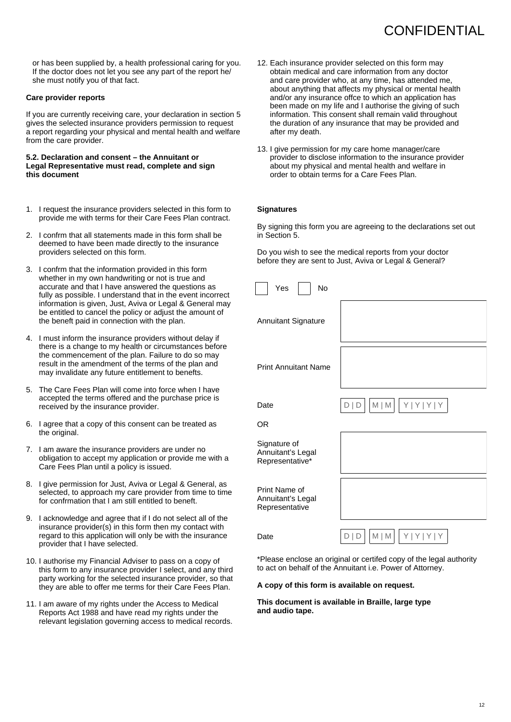or has been supplied by, a health professional caring for you. If the doctor does not let you see any part of the report he/ she must notify you of that fact.

#### **Care provider reports**

If you are currently receiving care, your declaration in section 5 gives the selected insurance providers permission to request a report regarding your physical and mental health and welfare from the care provider.

#### **5.2. Declaration and consent – the Annuitant or Legal Representative must read, complete and sign this document**

- 1. I request the insurance providers selected in this form to provide me with terms for their Care Fees Plan contract.
- 2. I confrm that all statements made in this form shall be deemed to have been made directly to the insurance providers selected on this form.
- 3. I confrm that the information provided in this form whether in my own handwriting or not is true and accurate and that I have answered the questions as fully as possible. I understand that in the event incorrect information is given, Just, Aviva or Legal & General may be entitled to cancel the policy or adjust the amount of the beneft paid in connection with the plan.
- 4. I must inform the insurance providers without delay if there is a change to my health or circumstances before the commencement of the plan. Failure to do so may result in the amendment of the terms of the plan and may invalidate any future entitlement to benefts.
- 5. The Care Fees Plan will come into force when I have accepted the terms offered and the purchase price is received by the insurance provider.
- 6. I agree that a copy of this consent can be treated as the original.
- 7. I am aware the insurance providers are under no obligation to accept my application or provide me with a Care Fees Plan until a policy is issued.
- 8. I give permission for Just, Aviva or Legal & General, as selected, to approach my care provider from time to time for confrmation that I am still entitled to beneft.
- 9. I acknowledge and agree that if I do not select all of the insurance provider(s) in this form then my contact with regard to this application will only be with the insurance provider that I have selected.
- 10. I authorise my Financial Adviser to pass on a copy of this form to any insurance provider I select, and any third party working for the selected insurance provider, so that they are able to offer me terms for their Care Fees Plan.
- 11. I am aware of my rights under the Access to Medical Reports Act 1988 and have read my rights under the relevant legislation governing access to medical records.
- 12. Each insurance provider selected on this form may obtain medical and care information from any doctor and care provider who, at any time, has attended me, about anything that affects my physical or mental health and/or any insurance offce to which an application has been made on my life and I authorise the giving of such information. This consent shall remain valid throughout the duration of any insurance that may be provided and after my death.
- 13. I give permission for my care home manager/care provider to disclose information to the insurance provider about my physical and mental health and welfare in order to obtain terms for a Care Fees Plan.

#### **Signatures**

By signing this form you are agreeing to the declarations set out in Section 5.

Do you wish to see the medical reports from your doctor before they are sent to Just, Aviva or Legal & General?

| Yes<br><b>No</b>                                     |                                            |
|------------------------------------------------------|--------------------------------------------|
| <b>Annuitant Signature</b>                           |                                            |
| <b>Print Annuitant Name</b>                          |                                            |
| Date                                                 | $M$   $M$   $Y$   $Y$   $Y$   $Y$<br>D   D |
| 0R                                                   |                                            |
| Signature of<br>Annuitant's Legal<br>Representative* |                                            |
| Print Name of<br>Annuitant's Legal<br>Representative |                                            |
| Date                                                 | Y Y Y Y<br>$M$   $M$  <br>DID              |

\*Please enclose an original or certifed copy of the legal authority to act on behalf of the Annuitant i.e. Power of Attorney.

**A copy of this form is available on request.**

**This document is available in Braille, large type and audio tape.**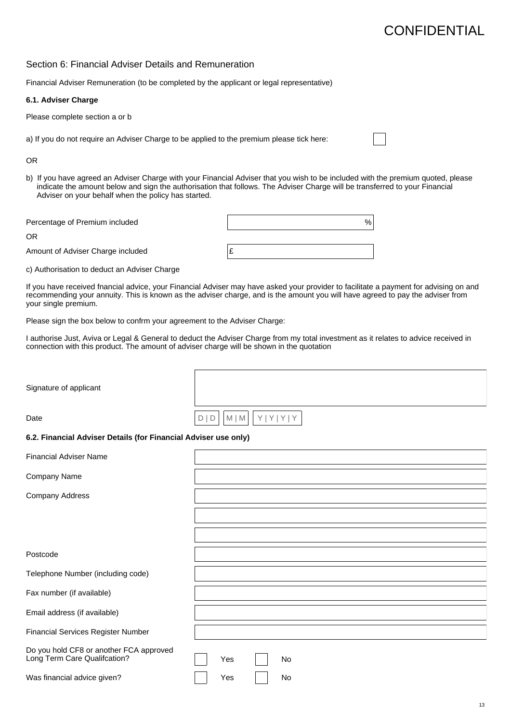### Section 6: Financial Adviser Details and Remuneration

Financial Adviser Remuneration (to be completed by the applicant or legal representative)

#### **6.1. Adviser Charge**

Please complete section a or b

a) If you do not require an Adviser Charge to be applied to the premium please tick here:

#### OR

b) If you have agreed an Adviser Charge with your Financial Adviser that you wish to be included with the premium quoted, please indicate the amount below and sign the authorisation that follows. The Adviser Charge will be transferred to your Financial Adviser on your behalf when the policy has started.

Percentage of Premium included  $\%$ 

OR

Amount of Adviser Charge included  $\mathbf{f}$ 

c) Authorisation to deduct an Adviser Charge

If you have received fnancial advice, your Financial Adviser may have asked your provider to facilitate a payment for advising on and recommending your annuity. This is known as the adviser charge, and is the amount you will have agreed to pay the adviser from your single premium.

Please sign the box below to confrm your agreement to the Adviser Charge:

I authorise Just, Aviva or Legal & General to deduct the Adviser Charge from my total investment as it relates to advice received in connection with this product. The amount of adviser charge will be shown in the quotation

| Signature of applicant                                                  |                                |
|-------------------------------------------------------------------------|--------------------------------|
| Date                                                                    | Y Y Y Y<br>$M \mid M$<br>D   D |
| 6.2. Financial Adviser Details (for Financial Adviser use only)         |                                |
| <b>Financial Adviser Name</b>                                           |                                |
| Company Name                                                            |                                |
| <b>Company Address</b>                                                  |                                |
|                                                                         |                                |
|                                                                         |                                |
| Postcode                                                                |                                |
| Telephone Number (including code)                                       |                                |
| Fax number (if available)                                               |                                |
| Email address (if available)                                            |                                |
| Financial Services Register Number                                      |                                |
| Do you hold CF8 or another FCA approved<br>Long Term Care Qualifcation? | Yes<br><b>No</b>               |
| Was financial advice given?                                             | Yes<br>No                      |